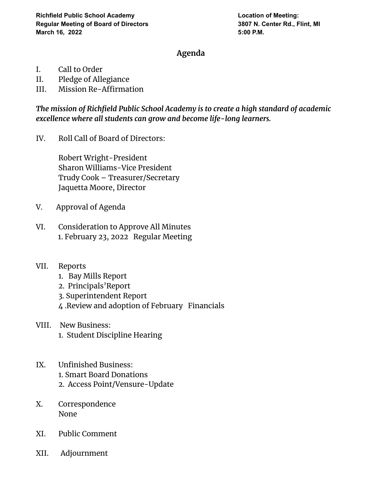## **Agenda**

- I. Call to Order
- II. Pledge of Allegiance
- III. Mission Re-Affirmation

*The mission of Richfield Public School Academy is to create a high standard of academic excellence where all students can grow and become life-long learners.*

IV. Roll Call of Board of Directors:

Robert Wright-President Sharon Williams-Vice President Trudy Cook – Treasurer/Secretary Jaquetta Moore, Director

- V. Approval of Agenda
- VI. Consideration to Approve All Minutes 1. February 23, 2022 Regular Meeting
- VII. Reports
	- 1. Bay Mills Report
	- 2. Principals'Report
	- 3. Superintendent Report
	- 4 .Review and adoption of February Financials
- VIII. New Business: 1. Student Discipline Hearing
- IX. Unfinished Business: 1. Smart Board Donations 2. Access Point/Vensure-Update
- X. Correspondence None
- XI. Public Comment
- XII. Adjournment